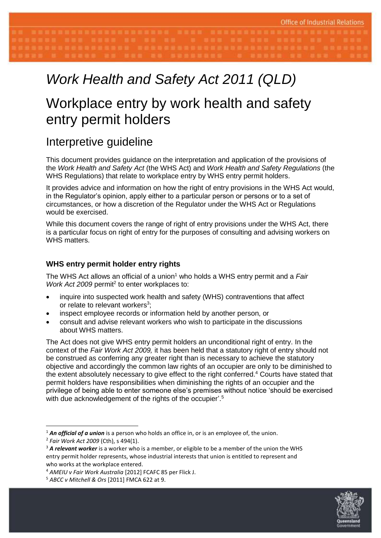# *Work Health and Safety Act 2011 (QLD)*

# Workplace entry by work health and safety entry permit holders

# Interpretive guideline

This document provides guidance on the interpretation and application of the provisions of the *Work Health and Safety Act* (the WHS Act) and *Work Health and Safety Regulations* (the WHS Regulations) that relate to workplace entry by WHS entry permit holders.

It provides advice and information on how the right of entry provisions in the WHS Act would, in the Regulator's opinion, apply either to a particular person or persons or to a set of circumstances, or how a discretion of the Regulator under the WHS Act or Regulations would be exercised.

While this document covers the range of right of entry provisions under the WHS Act, there is a particular focus on right of entry for the purposes of consulting and advising workers on WHS matters.

# **WHS entry permit holder entry rights**

The WHS Act allows an official of a union<sup>1</sup> who holds a WHS entry permit and a *Fair*  Work Act 2009 permit<sup>2</sup> to enter workplaces to:

- inquire into suspected work health and safety (WHS) contraventions that affect or relate to relevant workers<sup>3</sup>;
- inspect employee records or information held by another person, or
- consult and advise relevant workers who wish to participate in the discussions about WHS matters.

The Act does not give WHS entry permit holders an unconditional right of entry. In the context of the *Fair Work Act 2009,* it has been held that a statutory right of entry should not be construed as conferring any greater right than is necessary to achieve the statutory objective and accordingly the common law rights of an occupier are only to be diminished to the extent absolutely necessary to give effect to the right conferred. <sup>4</sup> Courts have stated that permit holders have responsibilities when diminishing the rights of an occupier and the privilege of being able to enter someone else's premises without notice 'should be exercised with due acknowledgement of the rights of the occupier'.<sup>5</sup>



<sup>&</sup>lt;sup>1</sup> An official of a union is a person who holds an office in, or is an employee of, the union.

<sup>2</sup> *Fair Work Act 2009* (Cth), s 494(1).

<sup>&</sup>lt;sup>3</sup> A relevant worker is a worker who is a member, or eligible to be a member of the union the WHS entry permit holder represents, whose industrial interests that union is entitled to represent and who works at the workplace entered.

<sup>4</sup> *AMEIU v Fair Work Australia* [2012] FCAFC 85 per Flick J.

<sup>5</sup> *ABCC v Mitchell & Ors* [2011] FMCA 622 at 9.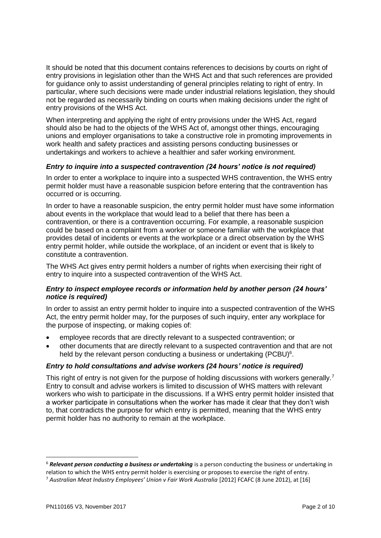It should be noted that this document contains references to decisions by courts on right of entry provisions in legislation other than the WHS Act and that such references are provided for guidance only to assist understanding of general principles relating to right of entry. In particular, where such decisions were made under industrial relations legislation, they should not be regarded as necessarily binding on courts when making decisions under the right of entry provisions of the WHS Act.

When interpreting and applying the right of entry provisions under the WHS Act, regard should also be had to the objects of the WHS Act of, amongst other things, encouraging unions and employer organisations to take a constructive role in promoting improvements in work health and safety practices and assisting persons conducting businesses or undertakings and workers to achieve a healthier and safer working environment.

# *Entry to inquire into a suspected contravention (24 hours' notice is not required)*

In order to enter a workplace to inquire into a suspected WHS contravention, the WHS entry permit holder must have a reasonable suspicion before entering that the contravention has occurred or is occurring.

In order to have a reasonable suspicion, the entry permit holder must have some information about events in the workplace that would lead to a belief that there has been a contravention, or there is a contravention occurring. For example, a reasonable suspicion could be based on a complaint from a worker or someone familiar with the workplace that provides detail of incidents or events at the workplace or a direct observation by the WHS entry permit holder, while outside the workplace, of an incident or event that is likely to constitute a contravention.

The WHS Act gives entry permit holders a number of rights when exercising their right of entry to inquire into a suspected contravention of the WHS Act.

#### *Entry to inspect employee records or information held by another person (24 hours' notice is required)*

In order to assist an entry permit holder to inquire into a suspected contravention of the WHS Act, the entry permit holder may, for the purposes of such inquiry, enter any workplace for the purpose of inspecting, or making copies of:

- employee records that are directly relevant to a suspected contravention; or
- other documents that are directly relevant to a suspected contravention and that are not held by the relevant person conducting a business or undertaking (PCBU)<sup>6</sup>.

# *Entry to hold consultations and advise workers (24 hours' notice is required)*

This right of entry is not given for the purpose of holding discussions with workers generally.<sup>7</sup> Entry to consult and advise workers is limited to discussion of WHS matters with relevant workers who wish to participate in the discussions. If a WHS entry permit holder insisted that a worker participate in consultations when the worker has made it clear that they don't wish to, that contradicts the purpose for which entry is permitted, meaning that the WHS entry permit holder has no authority to remain at the workplace.

<sup>6</sup> *Relevant person conducting a business or undertaking* is a person conducting the business or undertaking in relation to which the WHS entry permit holder is exercising or proposes to exercise the right of entry.

<sup>7</sup> *Australian Meat Industry Employees' Union v Fair Work Australia* [2012] FCAFC (8 June 2012), at [16]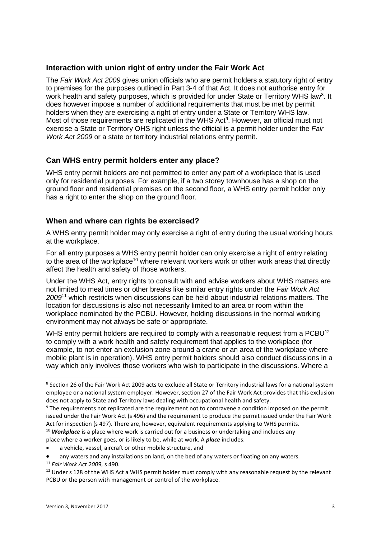#### **Interaction with union right of entry under the Fair Work Act**

The *Fair Work Act 2009* gives union officials who are permit holders a statutory right of entry to premises for the purposes outlined in Part 3-4 of that Act. It does not authorise entry for work health and safety purposes, which is provided for under State or Territory WHS law<sup>8</sup>. It does however impose a number of additional requirements that must be met by permit holders when they are exercising a right of entry under a State or Territory WHS law. Most of those requirements are replicated in the WHS Act<sup>9</sup>. However, an official must not exercise a State or Territory OHS right unless the official is a permit holder under the *Fair Work Act 2009* or a state or territory industrial relations entry permit.

# **Can WHS entry permit holders enter any place?**

WHS entry permit holders are not permitted to enter any part of a workplace that is used only for residential purposes. For example, if a two storey townhouse has a shop on the ground floor and residential premises on the second floor, a WHS entry permit holder only has a right to enter the shop on the ground floor.

# **When and where can rights be exercised?**

A WHS entry permit holder may only exercise a right of entry during the usual working hours at the workplace.

For all entry purposes a WHS entry permit holder can only exercise a right of entry relating to the area of the workplace<sup>10</sup> where relevant workers work or other work areas that directly affect the health and safety of those workers.

Under the WHS Act, entry rights to consult with and advise workers about WHS matters are not limited to meal times or other breaks like similar entry rights under the *Fair Work Act 2009*<sup>11</sup> which restricts when discussions can be held about industrial relations matters*.* The location for discussions is also not necessarily limited to an area or room within the workplace nominated by the PCBU. However, holding discussions in the normal working environment may not always be safe or appropriate.

WHS entry permit holders are required to comply with a reasonable request from a PCBU<sup>12</sup> to comply with a work health and safety requirement that applies to the workplace (for example, to not enter an exclusion zone around a crane or an area of the workplace where mobile plant is in operation). WHS entry permit holders should also conduct discussions in a way which only involves those workers who wish to participate in the discussions. Where a

<sup>&</sup>lt;sup>8</sup> Section 26 of the Fair Work Act 2009 acts to exclude all State or Territory industrial laws for a national system employee or a national system employer. However, section 27 of the Fair Work Act provides that this exclusion does not apply to State and Territory laws dealing with occupational health and safety.

<sup>9</sup> The requirements not replicated are the requirement not to contravene a condition imposed on the permit issued under the Fair Work Act (s 496) and the requirement to produce the permit issued under the Fair Work Act for inspection (s 497). There are, however, equivalent requirements applying to WHS permits.

<sup>&</sup>lt;sup>10</sup> **Workplace** is a place where work is carried out for a business or undertaking and includes any place where a worker goes, or is likely to be, while at work. A *place* includes:

a vehicle, vessel, aircraft or other mobile structure, and

any waters and any installations on land, on the bed of any waters or floating on any waters.

<sup>11</sup> *Fair Work Act 2009*, s 490.

<sup>&</sup>lt;sup>12</sup> Under s 128 of the WHS Act a WHS permit holder must comply with any reasonable request by the relevant PCBU or the person with management or control of the workplace.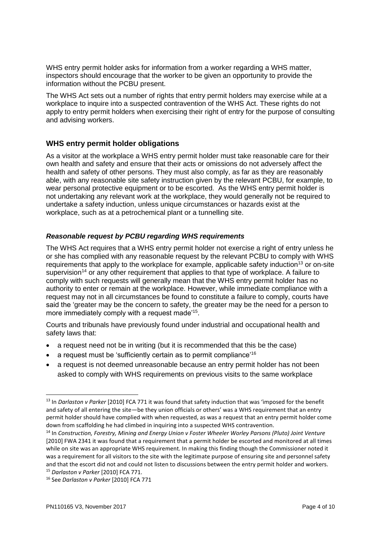WHS entry permit holder asks for information from a worker regarding a WHS matter, inspectors should encourage that the worker to be given an opportunity to provide the information without the PCBU present.

The WHS Act sets out a number of rights that entry permit holders may exercise while at a workplace to inquire into a suspected contravention of the WHS Act. These rights do not apply to entry permit holders when exercising their right of entry for the purpose of consulting and advising workers.

# **WHS entry permit holder obligations**

As a visitor at the workplace a WHS entry permit holder must take reasonable care for their own health and safety and ensure that their acts or omissions do not adversely affect the health and safety of other persons. They must also comply, as far as they are reasonably able, with any reasonable site safety instruction given by the relevant PCBU, for example, to wear personal protective equipment or to be escorted. As the WHS entry permit holder is not undertaking any relevant work at the workplace, they would generally not be required to undertake a safety induction, unless unique circumstances or hazards exist at the workplace, such as at a petrochemical plant or a tunnelling site.

#### *Reasonable request by PCBU regarding WHS requirements*

The WHS Act requires that a WHS entry permit holder not exercise a right of entry unless he or she has complied with any reasonable request by the relevant PCBU to comply with WHS requirements that apply to the workplace for example, applicable safety induction<sup>13</sup> or on-site supervision<sup>14</sup> or any other requirement that applies to that type of workplace. A failure to comply with such requests will generally mean that the WHS entry permit holder has no authority to enter or remain at the workplace. However, while immediate compliance with a request may not in all circumstances be found to constitute a failure to comply, courts have said the 'greater may be the concern to safety, the greater may be the need for a person to more immediately comply with a request made'<sup>15</sup>.

Courts and tribunals have previously found under industrial and occupational health and safety laws that:

- a request need not be in writing (but it is recommended that this be the case)
- a request must be 'sufficiently certain as to permit compliance'<sup>16</sup>
- a request is not deemed unreasonable because an entry permit holder has not been asked to comply with WHS requirements on previous visits to the same workplace

<sup>13</sup> In *Darlaston v Parker* [2010] FCA 771 it was found that safety induction that was 'imposed for the benefit and safety of all entering the site—be they union officials or others' was a WHS requirement that an entry permit holder should have complied with when requested, as was a request that an entry permit holder come down from scaffolding he had climbed in inquiring into a suspected WHS contravention.

<sup>14</sup> In *Construction, Forestry, Mining and Energy Union v Foster Wheeler Worley Parsons (Pluto) Joint Venture*  [2010] FWA 2341 it was found that a requirement that a permit holder be escorted and monitored at all times while on site was an appropriate WHS requirement. In making this finding though the Commissioner noted it was a requirement for all visitors to the site with the legitimate purpose of ensuring site and personnel safety and that the escort did not and could not listen to discussions between the entry permit holder and workers. <sup>15</sup> *Darlaston v Parker* [2010] FCA 771.

<sup>16</sup> See *Darlaston v Parker* [2010] FCA 771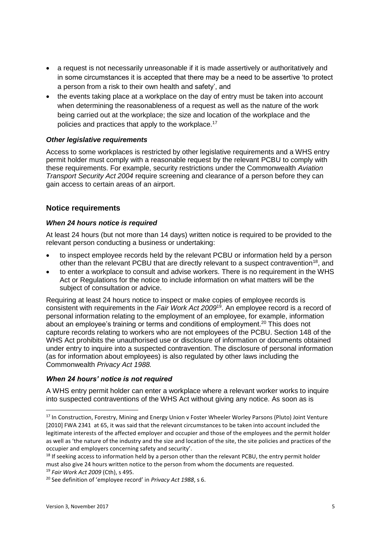- a request is not necessarily unreasonable if it is made assertively or authoritatively and in some circumstances it is accepted that there may be a need to be assertive 'to protect a person from a risk to their own health and safety', and
- the events taking place at a workplace on the day of entry must be taken into account when determining the reasonableness of a request as well as the nature of the work being carried out at the workplace; the size and location of the workplace and the policies and practices that apply to the workplace.<sup>17</sup>

#### *Other legislative requirements*

Access to some workplaces is restricted by other legislative requirements and a WHS entry permit holder must comply with a reasonable request by the relevant PCBU to comply with these requirements. For example, security restrictions under the Commonwealth *Aviation Transport Security Act 2004* require screening and clearance of a person before they can gain access to certain areas of an airport.

#### **Notice requirements**

#### *When 24 hours notice is required*

At least 24 hours (but not more than 14 days) written notice is required to be provided to the relevant person conducting a business or undertaking:

- to inspect employee records held by the relevant PCBU or information held by a person other than the relevant PCBU that are directly relevant to a suspect contravention<sup>18</sup>, and
- to enter a workplace to consult and advise workers. There is no requirement in the WHS Act or Regulations for the notice to include information on what matters will be the subject of consultation or advice.

Requiring at least 24 hours notice to inspect or make copies of employee records is consistent with requirements in the *Fair Work Act 2009*<sup>19</sup>. An employee record is a record of personal information relating to the employment of an employee, for example, information about an employee's training or terms and conditions of employment.<sup>20</sup> This does not capture records relating to workers who are not employees of the PCBU. Section 148 of the WHS Act prohibits the unauthorised use or disclosure of information or documents obtained under entry to inquire into a suspected contravention. The disclosure of personal information (as for information about employees) is also regulated by other laws including the Commonwealth *Privacy Act 1988.*

#### *When 24 hours' notice is not required*

A WHS entry permit holder can enter a workplace where a relevant worker works to inquire into suspected contraventions of the WHS Act without giving any notice. As soon as is

<sup>&</sup>lt;sup>17</sup> In Construction, Forestry, Mining and Energy Union v Foster Wheeler Worley Parsons (Pluto) Joint Venture [2010] FWA 2341 at 65, it was said that the relevant circumstances to be taken into account included the legitimate interests of the affected employer and occupier and those of the employees and the permit holder as well as 'the nature of the industry and the size and location of the site, the site policies and practices of the occupier and employers concerning safety and security'.

 $18$  If seeking access to information held by a person other than the relevant PCBU, the entry permit holder must also give 24 hours written notice to the person from whom the documents are requested.

<sup>19</sup> *Fair Work Act 2009* (Cth), s 495.

<sup>20</sup> See definition of 'employee record' in *Privacy Act 1988*, s 6.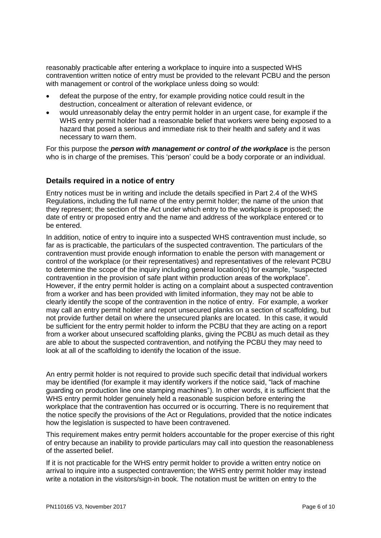reasonably practicable after entering a workplace to inquire into a suspected WHS contravention written notice of entry must be provided to the relevant PCBU and the person with management or control of the workplace unless doing so would:

- defeat the purpose of the entry, for example providing notice could result in the destruction, concealment or alteration of relevant evidence, or
- would unreasonably delay the entry permit holder in an urgent case, for example if the WHS entry permit holder had a reasonable belief that workers were being exposed to a hazard that posed a serious and immediate risk to their health and safety and it was necessary to warn them.

For this purpose the *person with management or control of the workplace* is the person who is in charge of the premises. This 'person' could be a body corporate or an individual.

# **Details required in a notice of entry**

Entry notices must be in writing and include the details specified in Part 2.4 of the WHS Regulations, including the full name of the entry permit holder; the name of the union that they represent; the section of the Act under which entry to the workplace is proposed; the date of entry or proposed entry and the name and address of the workplace entered or to be entered.

In addition, notice of entry to inquire into a suspected WHS contravention must include, so far as is practicable, the particulars of the suspected contravention. The particulars of the contravention must provide enough information to enable the person with management or control of the workplace (or their representatives) and representatives of the relevant PCBU to determine the scope of the inquiry including general location(s) for example, "suspected contravention in the provision of safe plant within production areas of the workplace". However, if the entry permit holder is acting on a complaint about a suspected contravention from a worker and has been provided with limited information, they may not be able to clearly identify the scope of the contravention in the notice of entry. For example, a worker may call an entry permit holder and report unsecured planks on a section of scaffolding, but not provide further detail on where the unsecured planks are located. In this case, it would be sufficient for the entry permit holder to inform the PCBU that they are acting on a report from a worker about unsecured scaffolding planks, giving the PCBU as much detail as they are able to about the suspected contravention, and notifying the PCBU they may need to look at all of the scaffolding to identify the location of the issue.

An entry permit holder is not required to provide such specific detail that individual workers may be identified (for example it may identify workers if the notice said, "lack of machine guarding on production line one stamping machines"). In other words, it is sufficient that the WHS entry permit holder genuinely held a reasonable suspicion before entering the workplace that the contravention has occurred or is occurring. There is no requirement that the notice specify the provisions of the Act or Regulations, provided that the notice indicates how the legislation is suspected to have been contravened.

This requirement makes entry permit holders accountable for the proper exercise of this right of entry because an inability to provide particulars may call into question the reasonableness of the asserted belief.

If it is not practicable for the WHS entry permit holder to provide a written entry notice on arrival to inquire into a suspected contravention; the WHS entry permit holder may instead write a notation in the visitors/sign-in book. The notation must be written on entry to the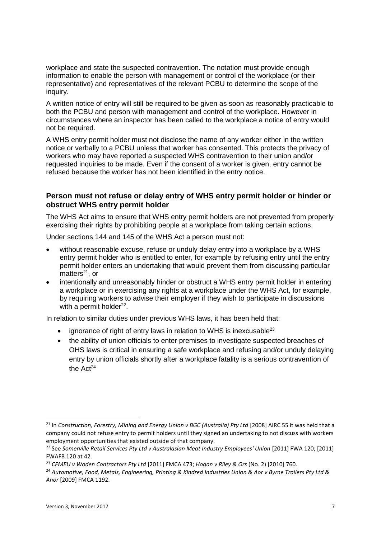workplace and state the suspected contravention. The notation must provide enough information to enable the person with management or control of the workplace (or their representative) and representatives of the relevant PCBU to determine the scope of the inquiry.

A written notice of entry will still be required to be given as soon as reasonably practicable to both the PCBU and person with management and control of the workplace. However in circumstances where an inspector has been called to the workplace a notice of entry would not be required.

A WHS entry permit holder must not disclose the name of any worker either in the written notice or verbally to a PCBU unless that worker has consented. This protects the privacy of workers who may have reported a suspected WHS contravention to their union and/or requested inquiries to be made. Even if the consent of a worker is given, entry cannot be refused because the worker has not been identified in the entry notice.

# **Person must not refuse or delay entry of WHS entry permit holder or hinder or obstruct WHS entry permit holder**

The WHS Act aims to ensure that WHS entry permit holders are not prevented from properly exercising their rights by prohibiting people at a workplace from taking certain actions.

Under sections 144 and 145 of the WHS Act a person must not:

- without reasonable excuse, refuse or unduly delay entry into a workplace by a WHS entry permit holder who is entitled to enter, for example by refusing entry until the entry permit holder enters an undertaking that would prevent them from discussing particular matters $21$ , or
- intentionally and unreasonably hinder or obstruct a WHS entry permit holder in entering a workplace or in exercising any rights at a workplace under the WHS Act, for example, by requiring workers to advise their employer if they wish to participate in discussions with a permit holder $^{22}$ .

In relation to similar duties under previous WHS laws, it has been held that:

- ignorance of right of entry laws in relation to WHS is inexcusable<sup>23</sup>
- the ability of union officials to enter premises to investigate suspected breaches of OHS laws is critical in ensuring a safe workplace and refusing and/or unduly delaying entry by union officials shortly after a workplace fatality is a serious contravention of the Act<sup>24</sup>

<sup>&</sup>lt;sup>21</sup> In *Construction, Forestry, Mining and Energy Union v BGC (Australia) Pty Ltd [2008] AIRC 55 it was held that a* company could not refuse entry to permit holders until they signed an undertaking to not discuss with workers employment opportunities that existed outside of that company.

<sup>&</sup>lt;sup>22</sup> See Somerville Retail Services Pty Ltd v Australasian Meat Industry Employees' Union [2011] FWA 120; [2011] FWAFB 120 at 42.

<sup>23</sup> *CFMEU v Woden Contractors Pty Ltd* [2011] FMCA 473; *Hogan v Riley & Ors* (No. 2) [2010] 760.

<sup>24</sup> *Automotive, Food, Metals, Engineering, Printing & Kindred Industries Union & Aor v Byrne Trailers Pty Ltd & Anor* [2009] FMCA 1192.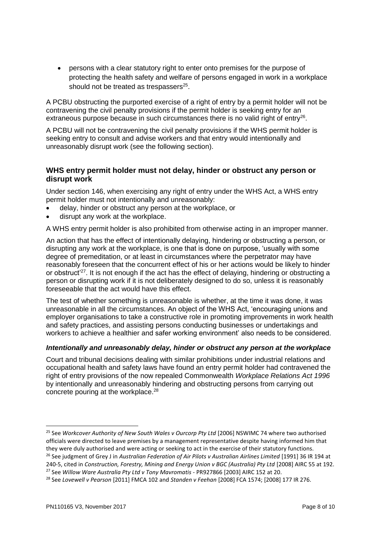persons with a clear statutory right to enter onto premises for the purpose of protecting the health safety and welfare of persons engaged in work in a workplace should not be treated as trespassers $25$ .

A PCBU obstructing the purported exercise of a right of entry by a permit holder will not be contravening the civil penalty provisions if the permit holder is seeking entry for an extraneous purpose because in such circumstances there is no valid right of entry<sup>26</sup>.

A PCBU will not be contravening the civil penalty provisions if the WHS permit holder is seeking entry to consult and advise workers and that entry would intentionally and unreasonably disrupt work (see the following section).

# **WHS entry permit holder must not delay, hinder or obstruct any person or disrupt work**

Under section 146, when exercising any right of entry under the WHS Act, a WHS entry permit holder must not intentionally and unreasonably:

- delay, hinder or obstruct any person at the workplace, or
- disrupt any work at the workplace.

A WHS entry permit holder is also prohibited from otherwise acting in an improper manner.

An action that has the effect of intentionally delaying, hindering or obstructing a person, or disrupting any work at the workplace, is one that is done on purpose, 'usually with some degree of premeditation, or at least in circumstances where the perpetrator may have reasonably foreseen that the concurrent effect of his or her actions would be likely to hinder or obstruct<sup>'27</sup>. It is not enough if the act has the effect of delaying, hindering or obstructing a person or disrupting work if it is not deliberately designed to do so, unless it is reasonably foreseeable that the act would have this effect.

The test of whether something is unreasonable is whether, at the time it was done, it was unreasonable in all the circumstances. An object of the WHS Act, 'encouraging unions and employer organisations to take a constructive role in promoting improvements in work health and safety practices, and assisting persons conducting businesses or undertakings and workers to achieve a healthier and safer working environment' also needs to be considered.

#### *Intentionally and unreasonably delay, hinder or obstruct any person at the workplace*

Court and tribunal decisions dealing with similar prohibitions under industrial relations and occupational health and safety laws have found an entry permit holder had contravened the right of entry provisions of the now repealed Commonwealth *Workplace Relations Act 1996* by intentionally and unreasonably hindering and obstructing persons from carrying out concrete pouring at the workplace.<sup>28</sup>

<sup>25</sup> See *Workcover Authority of New South Wales v Ourcorp Pty Ltd* [2006] NSWIMC 74 where two authorised officials were directed to leave premises by a management representative despite having informed him that they were duly authorised and were acting or seeking to act in the exercise of their statutory functions. <sup>26</sup> See judgment of Grey J in *Australian Federation of Air Pilots v Australian Airlines Limited* [1991] 36 IR 194 at

<sup>240-5,</sup> cited in *Construction, Forestry, Mining and Energy Union v BGC (Australia) Pty Ltd* [2008] AIRC 55 at 192. <sup>27</sup> See *Willow Ware Australia Pty Ltd v Tony Mavromatis* - PR927866 [2003] AIRC 152 at 20.

<sup>28</sup> See *Lovewell v Pearson* [2011] FMCA 102 and *Standen v Feehan* [2008] FCA 1574; [2008] 177 IR 276.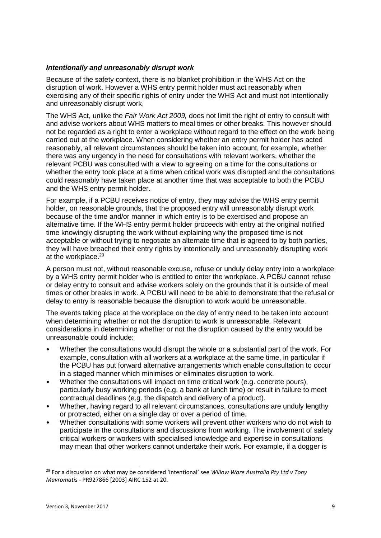#### *Intentionally and unreasonably disrupt work*

Because of the safety context, there is no blanket prohibition in the WHS Act on the disruption of work. However a WHS entry permit holder must act reasonably when exercising any of their specific rights of entry under the WHS Act and must not intentionally and unreasonably disrupt work,

The WHS Act, unlike the *Fair Work Act 2009,* does not limit the right of entry to consult with and advise workers about WHS matters to meal times or other breaks. This however should not be regarded as a right to enter a workplace without regard to the effect on the work being carried out at the workplace. When considering whether an entry permit holder has acted reasonably, all relevant circumstances should be taken into account, for example, whether there was any urgency in the need for consultations with relevant workers, whether the relevant PCBU was consulted with a view to agreeing on a time for the consultations or whether the entry took place at a time when critical work was disrupted and the consultations could reasonably have taken place at another time that was acceptable to both the PCBU and the WHS entry permit holder.

For example, if a PCBU receives notice of entry, they may advise the WHS entry permit holder, on reasonable grounds, that the proposed entry will unreasonably disrupt work because of the time and/or manner in which entry is to be exercised and propose an alternative time. If the WHS entry permit holder proceeds with entry at the original notified time knowingly disrupting the work without explaining why the proposed time is not acceptable or without trying to negotiate an alternate time that is agreed to by both parties, they will have breached their entry rights by intentionally and unreasonably disrupting work at the workplace.<sup>29</sup>

A person must not, without reasonable excuse, refuse or unduly delay entry into a workplace by a WHS entry permit holder who is entitled to enter the workplace. A PCBU cannot refuse or delay entry to consult and advise workers solely on the grounds that it is outside of meal times or other breaks in work. A PCBU will need to be able to demonstrate that the refusal or delay to entry is reasonable because the disruption to work would be unreasonable.

The events taking place at the workplace on the day of entry need to be taken into account when determining whether or not the disruption to work is unreasonable. Relevant considerations in determining whether or not the disruption caused by the entry would be unreasonable could include:

- Whether the consultations would disrupt the whole or a substantial part of the work. For example, consultation with all workers at a workplace at the same time, in particular if the PCBU has put forward alternative arrangements which enable consultation to occur in a staged manner which minimises or eliminates disruption to work.
- Whether the consultations will impact on time critical work (e.g. concrete pours). particularly busy working periods (e.g. a bank at lunch time) or result in failure to meet contractual deadlines (e.g. the dispatch and delivery of a product).
- Whether, having regard to all relevant circumstances, consultations are unduly lengthy or protracted, either on a single day or over a period of time.
- Whether consultations with some workers will prevent other workers who do not wish to participate in the consultations and discussions from working. The involvement of safety critical workers or workers with specialised knowledge and expertise in consultations may mean that other workers cannot undertake their work. For example, if a dogger is

<sup>29</sup> For a discussion on what may be considered 'intentional' see *Willow Ware Australia Pty Ltd v Tony Mavromatis* - PR927866 [2003] AIRC 152 at 20.